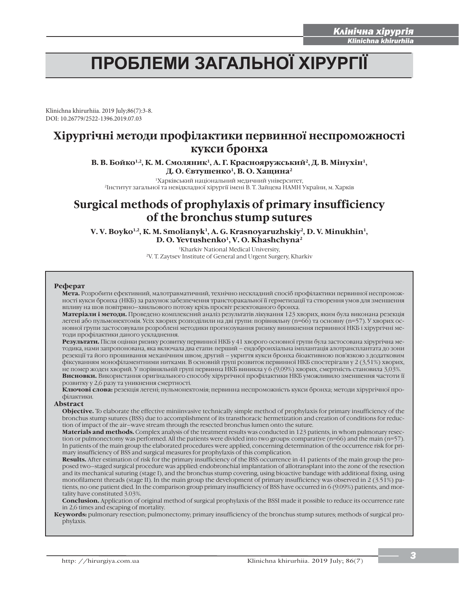i

# ПРОБЛЕМИ ЗАГАЛЬНОЇ ХІРУРГІЇ

Klinichna khirurhiia. 2019 July;86(7):3-8. DOI: 10.26779/2522-1396.2019.07.03

# **Хірургічні методи профілактики первинної неспроможності кукси бронха**

В. В. Бойко<sup>1,2</sup>, К. М. Смоляник<sup>1</sup>, А. Г. Краснояружський<sup>2</sup>, Д. В. Мінухін<sup>1</sup>, **Д. О. Євтушенко1, В. О. Хащина2**

1Харківський національний медичний університет, 2Інститут загальної та невідкладної хірургії імені В. Т. Зайцева НАМН України, м. Харків

# **Surgical methods of prophylaxis of primary insufficiency of the bronchus stump sutures**

V. V. Boyko<sup>1,2</sup>, K. M. Smolianyk<sup>1</sup>, A. G. Krasnoyaruzhskiy<sup>2</sup>, D. V. Minukhin<sup>1</sup>, D. O. Yevtushenko<sup>1</sup>, V. O. Khashchyna<sup>2</sup>

> <sup>1</sup>Kharkiv National Medical University, 2V. Т. Zaytsev Іnstitute of General and Urgent Surgery, Kharkiv

### **Реферат**

**Мета.** Розробити ефективний, малотравматичний, технічно нескладний спосіб профілактики первинної неспроможності кукси бронха (НКБ) за рахунок забезпечення трансторакальної її герметизації та створення умов для зменшення впливу на шов повітряно–хвильового потоку крізь просвіт резектованого бронха.

**Матеріали і методи.** Проведено комплексний аналіз результатів лікування 123 хворих, яким була виконана резекція легені або пульмонектомія. Усіх хворих розподілили на дві групи: порівняльну (n=66) та основну (n=57). У хворих основної групи застосовували розроблені методики прогнозування ризику виникнення первинної НКБ і хірургічні методи профілактики даного ускладнення.

**Результати.** Після оцінки ризику розвитку первинної НКБ у 41 хворого основної групи була застосована хірургічна методика, нами запропонована, яка включала два етапи: перший – ендобронхіальна імплантація алотрансплантата до зони резекції та його прошивання механічним швом; другий – укриття кукси бронха біоактивною пов'язкою з додатковим фіксуванням монофіламентними нитками. В основній групі розвиток первинної НКБ спостерігали у 2 (3,51%) хворих, не помер жоден хворий. У порівняльній групі первинна НКБ виникла у 6 (9,09%) хворих, смертність становила 3,03%. **Висновки.** Використання оригінального способу хірургічної профілактики НКБ уможливило зменшення частоти її розвитку у 2,6 разу та уникнення смертності.

**Ключові слова:** резекція легені; пульмонектомія; первинна неспроможність кукси бронха; методи хірургічної профілактики.

### **Abstract**

**Objective.** To elaborate the effective miniinvasive technically simple method of prophylaxis for primary insufficiency of the bronchus stump sutures (BSS) due to accomplishment of its transthoracic hermetization and creation of conditions for reduction of impact of the air–wave stream through the resected bronchus lumen onto the suture.

**Маterials and methods.** Complex analysis of the treatment results was conducted in 123 patients, in whom pulmonary resection or pulmonectomy was performed. All the patients were divided into two groups: comparative (n=66) and the main (n=57). In patients of the main group the elaborated procedures were applied, concerning determination of the occurrence risk for primary insufficiency of BSS and surgical measures for prophylaxis of this complication.

**Results.** After estimation of risk for the primary insufficiency of the BSS occurrence in 41 patients of the main group the proposed two–staged surgical procedure was applied: еndobronchial implantation of allotransplant into the zone of the resection and its mechanical suturing (stage I), and the bronchus stump covering, using bioactive bandage with additional fixing, using monofilament threads (stage II). In the main group the development of primary insufficiency was observed in 2 (3.51%) patients, no one patient died. In the comparison group primary insufficiency of BSS have occurred in 6 (9.09%) patients, and mortality have constituted 3.03%.

**Conclusion.** Application of original method of surgical prophylaxis of the BSSI made it possible to reduce its occurrence rate in 2,6 times and escaping of mortality.

**Кeywords:** pulmonary resection; pulmonectomy; primary insufficiency of the bronchus stump sutures; methods of surgical prophylaxis.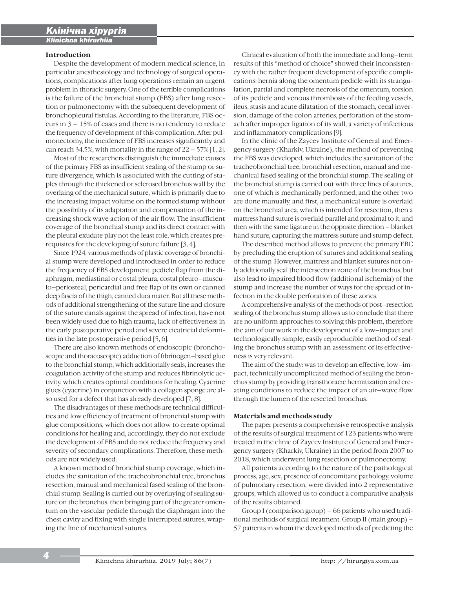## **Introduction**

i

Despite the development of modern medical science, in particular anesthesiology and technology of surgical operations, complications after lung operations remain an urgent problem in thoracic surgery. One of the terrible complications is the failure of the bronchial stump (FBS) after lung resection or pulmonectomy with the subsequent development of bronchopleural fistulas. According to the literature, FBS occurs in  $3 - 15\%$  of cases and there is no tendency to reduce the frequency of development of this complication. After pulmonectomy, the incidence of FBS increases significantly and can reach 34.5%, with mortality in the range of  $22 - 57\%$  [1, 2].

Most of the researchers distinguish the immediate causes of the primary FBS as insufficient sealing of the stump or suture divergence, which is associated with the cutting of staples through the thickened or sclerosed bronchus wall by the overlaing of the mechanical suture, which is primarily due to the increasing impact volume on the formed stump without the possibility of its adaptation and compensation of the increasing shock wave action of the air flow. The insufficient coverage of the bronchial stump and its direct contact with the pleural exudate play not the least role, which creates prerequisites for the developing of suture failure [3, 4].

Since 1924, various methods of plastic coverage of bronchial stump were developed and introdused in order to reduce the frequency of FBS development: pedicle flap from the diaphragm, mediastinal or costal pleura, costal pleuro–musculo–periosteal, pericardial and free flap of its own or canned deep fascia of the thigh, canned dura mater. But all these methods of additional strengthening of the suture line and closure of the suture canals against the spread of infection, have not been widely used due to high trauma, lack of effectiveness in the early postoperative period and severe cicatricial deformities in the late postoperative period [5, 6].

There are also known methods of endoscopic (bronchoscopic and thoracoscopic) adduction of fibrinogen–based glue to the bronchial stump, which additionally seals, increases the coagulation activity of the stump and reduces fibrinolytic activity, which creates optimal conditions for healing. Cyacrine glues (cyacrine) in conjunction with a collagen sponge are also used for a defect that has already developed [7, 8].

The disadvantages of these methods are technical difficulties and low efficiency of treatment of bronchial stump with glue compositions, which does not allow to create optimal conditions for healing and, accordingly, they do not exclude the development of FBS and do not reduce the frequency and severity of secondary complications. Therefore, these methods are not widely used.

A known method of bronchial stump coverage, which includes the sanitation of the tracheobronchial tree, bronchus resection, manual and mechanical fased sealing of the bronchial stump. Sealing is carried out by overlaying of sealing suture on the bronchus, then bringing part of the greater omentum on the vascular pedicle through the diaphragm into the chest cavity and fixing with single interrupted sutures, wraping the line of mechanical sutures.

Clinical evaluation of both the immediate and long–term results of this "method of choice" showed their inconsistency with the rather frequent development of specific complications: hernia along the omentum pedicle with its strangulation, partial and complete necrosis of the omentum, torsion of its pedicle and venous thrombosis of the feeding vessels, ileus, stasis and acute dilatation of the stomach, cecal inversion, damage of the colon arteries, perforation of the stomach after improper ligation of its wall, a variety of infectious and inflammatory complications [9].

In the clinic of the Zaycev Institute of General and Emergency surgery (Kharkiv, Ukraine), the method of preventing the FBS was developed, which includes the sanitation of the tracheobronchial tree, bronchial resection, manual and mechanical fased sealing of the bronchial stump. The sealing of the bronchial stump is carried out with three lines of sutures, one of which is mechanically performed, and the other two are done manually, and first, a mechanical suture is overlaid on the bronchial area, which is intended for resection, then a mattress hand suture is overlaid parallel and proximal to it, and then with the same ligature in the opposite direction – blanket hand suture, capturing the mattress suture and stump defect.

The described method allows to prevent the primary FBC by precluding the eruption of sutures and additional sealing of the stump. However, mattress and blanket sutures not only additionally seal the intersection zone of the bronchus, but also lead to impaired blood flow (additional ischemia) of the stump and increase the number of ways for the spread of infection in the double perforation of these zones.

A comprehensive analysis of the methods of post–resection sealing of the bronchus stump allows us to conclude that there are no uniform approaches to solving this problem, therefore the aim of our work in the development of a low–impact and technologically simple, easily reproducible method of sealing the bronchus stump with an assessment of its effectiveness is very relevant.

The aim of the study: was to develop an effective, low–impact, technically uncomplicated method of sealing the bronchus stump by providing transthoracic hermitization and creating conditions to reduce the impact of an air–wave flow through the lumen of the resected bronchus.

### **Materials and methods study**

The paper presents a comprehensive retrospective analysis of the results of surgical treatment of 123 patients who were treated in the clinic of Zaycev Institute of General and Emergency surgery (Kharkiv, Ukraine) in the period from 2007 to 2018, which underwent lung resection or pulmonectomy.

All patients according to the nature of the pathological process, age, sex, presence of concomitant pathology, volume of pulmonary resection, were divided into 2 representative groups, which allowed us to conduct a comparative analysis of the results obtained.

Group I (comparison group) – 66 patients who used traditional methods of surgical treatment. Group II (main group) – 57 patients in whom the developed methods of predicting the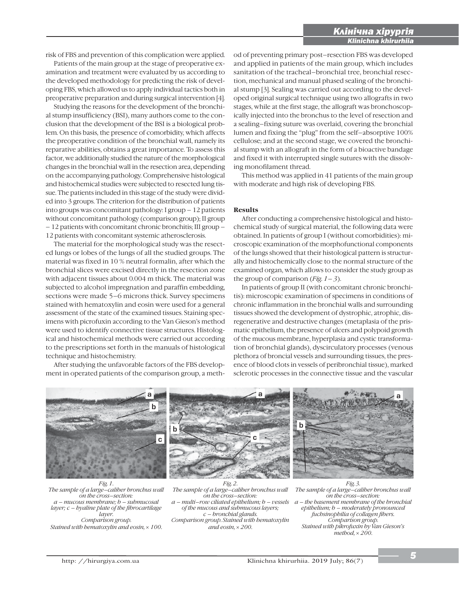risk of FBS and prevention of this complication were applied.

Patients of the main group at the stage of preoperative examination and treatment were evaluated by us according to the developed methodology for predicting the risk of developing FBS, which allowed us to apply individual tactics both in preoperative preparation and during surgical intervention [4].

Studying the reasons for the development of the bronchial stump insufficiency (BSI), many authors come to the conclusion that the development of the BSI is a biological problem. On this basis, the presence of comorbidity, which affects the preoperative condition of the bronchial wall, namely its reparative abilities, obtains a great importance. To assess this factor, we additionally studied the nature of the morphological changes in the bronchial wall in the resection area, depending on the accompanying pathology. Comprehensive histological and histochemical studies were subjected to resected lung tissue. The patients included in this stage of the study were divided into 3 groups. The criterion for the distribution of patients into groups was concomitant pathology: I group – 12 patients without concomitant pathology (comparison group); II group – 12 patients with concomitant chronic bronchitis; III group – 12 patients with concomitant systemic atherosclerosis.

The material for the morphological study was the resected lungs or lobes of the lungs of all the studied groups. The material was fixed in 10 % neutral formalin, after which the bronchial slices were excised directly in the resection zone with adjacent tissues about 0.004 m thick. The material was subjected to alcohol impregnation and paraffin embedding, sections were made 5–6 microns thick. Survey specimens stained with hematoxylin and eosin were used for a general assessment of the state of the examined tissues. Staining specimens with picrofuxin according to the Van Gieson's method were used to identify connective tissue structures. Histological and histochemical methods were carried out according to the prescriptions set forth in the manuals of histological technique and histochemistry.

After studying the unfavorable factors of the FBS development in operated patients of the comparison group, a method of preventing primary post–resection FBS was developed and applied in patients of the main group, which includes sanitation of the tracheal–bronchial tree, bronchial resection, mechanical and manual phased sealing of the bronchial stump [3]. Sealing was carried out according to the developed original surgical technique using two allografts in two stages, while at the first stage, the allograft was bronchoscopically injected into the bronchus to the level of resection and a sealing–fixing suture was overlaid, covering the bronchial lumen and fixing the "plug" from the self–absorptive 100% cellulose; and at the second stage, we covered the bronchial stump with an allograft in the form of a bioactive bandage and fixed it with interrupted single sutures with the dissolving monofilament thread.

i

This method was applied in 41 patients of the main group with moderate and high risk of developing FBS.

## **Results**

After conducting a comprehensive histological and histochemical study of surgical material, the following data were obtained. In patients of group I (without comorbidities): microscopic examination of the morphofunctional components of the lungs showed that their histological pattern is structurally and histochemically close to the normal structure of the examined organ, which allows to consider the study group as the group of comparison (*Fig. 1– 3*).

In patients of group II (with concomitant chronic bronchitis): microscopic examination of specimens in conditions of chronic inflammation in the bronchial walls and surrounding tissues showed the development of dystrophic, atrophic, disregenerative and destructive changes (metaplasia of the prismatic epithelium, the presence of ulcers and polypoid growth of the mucous membrane, hyperplasia and cystic transformation of bronchial glands), dyscirculatory processes (venous plethora of broncial vessels and surrounding tissues, the presence of blood clots in vessels of peribronchial tissue), marked sclerotic processes in the connective tissue and the vascular



*The sample of a large–caliber bronchus wall on the cross–section: a – mucous membrane; b – submucosal layer; c – hyaline plate of the fibrocartilage layer. Comparison group. Stained with hematoxylin and eosin,* u *100.*

*The sample of a large–caliber bronchus wall on the cross–section: a – multi–row ciliated epithelium; b – vessels of the mucous and submucous layers; c – bronchial glands. Comparison group. Stained with hematoxylin and eosin,*  $\times$  200.

*The sample of a large–caliber bronchus wall on the cross–section: a – the basement membrane of the bronchial epithelium; b – moderately pronounced fuchsinophilia of collagen fibers. Comparison group. Stained with pikrofuxin by Van Gieson's*   $method, x, 200.$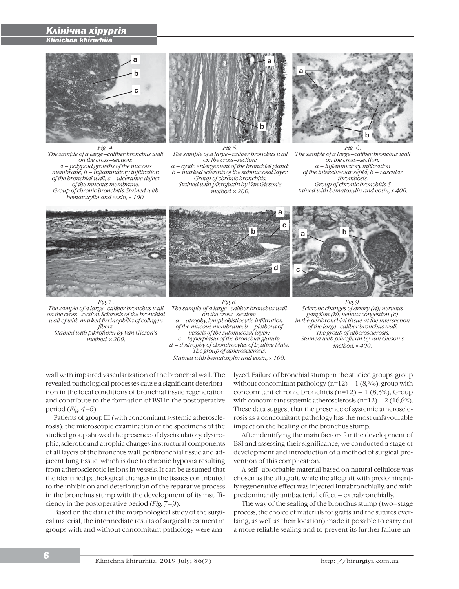# *ǖǷȑǹȑȃǹǬ ȁȑǼǿǼǯȑȋ Klinichna khirurhiia*

i



*Fig. 4. The sample of a large–caliber bronchus wall on the cross–section: a – polypoid growths of the mucous membrane; b – inflammatory infiltration of the bronchial wall; c – ulcerative defect of the mucous membrane. Group of chronic bronchitis. Stained with hematoxylin and eosin,*  $\times$  *100.* 



*The sample of a large–caliber bronchus wall on the cross–section: a – cystic enlargement of the bronchial gland; b – marked sclerosis of the submucosal layer. Group of chronic bronchitis. Stained with pikrofuxin by Van Gieson's*   $method, x 200.$ 



*Fig. 6. The sample of a large–caliber bronchus wall on the cross–section: a – inflammatory infiltration of the interalveolar septa; b – vascular thrombosis. Group of chronic bronchitis. S tained with hematoxylin and eosin, x 400.*



a b c d



*Fig.* 7 *The sample of a large–caliber bronchus wall on the cross–section. Sclerosis of the bronchial wall of with marked fuxinophilia of collagen fibers. Stained with pikrofuxin by Van Gieson's*   $method, x 200.$ 

*Fig. 8. The sample of a large–caliber bronchus wall on the cross–section: a – atrophy, lymphohistiocytic infiltration of the mucous membrane; b – plethora of vessels of the submucosal layer; c – hyperplasia of the bronchial glands; d – dystrophy of chondrocytes of hyaline plate. The group of atherosclerosis. Stained with hematoxylin and eosin,*  $\times$  *100.* 

*Fig. 9. Sclerotic changes of artery (a); nervous ganglion (b); venous congestion (c) in the peribronchial tissue at the intersection of the large–caliber bronchus wall. The group of atherosclerosis. Stained with pikrofuxin by Van Gieson's*   $method, x400.$ 

wall with impaired vascularization of the bronchial wall. The revealed pathological processes cause a significant deterioration in the local conditions of bronchial tissue regeneration and contribute to the formation of BSI in the postoperative period (*Fig. 4–6*).

Patients of group III (with concomitant systemic atherosclerosis): the microscopic examination of the specimens of the studied group showed the presence of dyscirculatory, dystrophic, sclerotic and atrophic changes in structural components of all layers of the bronchus wall, peribronchial tissue and adjacent lung tissue, which is due to chronic hypoxia resulting from atherosclerotic lesions in vessels. It can be assumed that the identified pathological changes in the tissues contributed to the inhibition and deterioration of the reparative process in the bronchus stump with the development of its insufficiency in the postoperative period (*Fig. 7–9*).

Based on the data of the morphological study of the surgical material, the intermediate results of surgical treatment in groups with and without concomitant pathology were analyzed. Failure of bronchial stump in the studied groups: group without concomitant pathology  $(n=12) - 1$  (8,3%), group with concomitant chronic bronchitis ( $n=12$ ) – 1 (8,3%), Group with concomitant systemic atherosclerosis  $(n=12) - 2 (16,6\%)$ . These data suggest that the presence of systemic atherosclerosis as a concomitant pathology has the most unfavourable impact on the healing of the bronchus stump.

After identifying the main factors for the development of BSI and assessing their significance, we conducted a stage of development and introduction of a method of surgical prevention of this complication.

A self–absorbable material based on natural cellulose was chosen as the allograft, while the allograft with predominantly regenerative effect was injected intrabronchially, and with predominantly antibacterial effect – extrabronchially.

The way of the sealing of the bronchus stump (two–stage process, the choice of materials for grafts and the sutures overlaing, as well as their location) made it possible to carry out a more reliable sealing and to prevent its further failure un-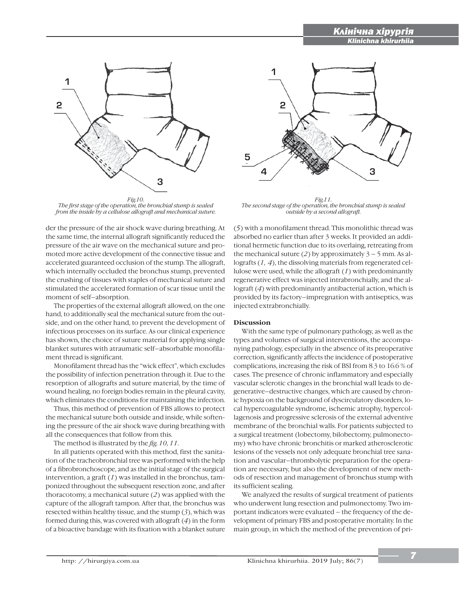# *ǖǷȑǹȑȃǹǬ ȁȑǼǿǼǯȑȋ Klinichna khirurhiia*



*The first stage of the operation, the bronchial stump is sealed from the inside by a cellulose allograft and mechanical suture.*

der the pressure of the air shock wave during breathing. At the same time, the internal allograft significantly reduced the pressure of the air wave on the mechanical suture and promoted more active development of the connective tissue and accelerated guaranteed occlusion of the stump. The allograft, which internally occluded the bronchus stump, prevented the crushing of tissues with staples of mechanical suture and stimulated the accelerated formation of scar tissue until the moment of self–absorption.

The properties of the external allograft allowed, on the one hand, to additionally seal the mechanical suture from the outside, and on the other hand, to prevent the development of infectious processes on its surface. As our clinical experience has shown, the choice of suture material for applying single blanket sutures with atraumatic self–absorbable monofilament thread is significant.

Monofilament thread has the "wick effect", which excludes the possibility of infection penetration through it. Due to the resorption of allografts and suture material, by the time of wound healing, no foreign bodies remain in the pleural cavity, which eliminates the conditions for maintaining the infection.

Thus, this method of prevention of FBS allows to protect the mechanical suture both outside and inside, while softening the pressure of the air shock wave during breathing with all the consequences that follow from this.

The method is illustrated by the *fig. 10, 11*.

In all patients operated with this method, first the sanitation of the tracheobronchial tree was performed with the help of a fibrobronchoscope, and as the initial stage of the surgical intervention, a graft (*1*) was installed in the bronchus, tamponized throughout the subsequent resection zone, and after thoracotomy, a mechanical suture (*2*) was applied with the capture of the allograft tampon. After that, the bronchus was resected within healthy tissue, and the stump (*3*), which was formed during this, was covered with allograft (*4*) in the form of a bioactive bandage with its fixation with a blanket suture



i

*Fig.11. The second stage of the operation, the bronchial stump is sealed outside by a second allograft.*

(*5*) with a monofilament thread. This monolithic thread was absorbed no earlier than after 3 weeks. It provided an additional hermetic function due to its overlaing, retreating from the mechanical suture (2) by approximately  $3 - 5$  mm. As allografts (*1, 4*), the dissolving materials from regenerated cellulose were used, while the allograft (*1*) with predominantly regenerative effect was injected intrabronchially, and the allograft (*4*) with predominantly antibacterial action, which is provided by its factory–impregnation with antiseptics, was injected extrabronchially.

# **Discussion**

With the same type of pulmonary pathology, as well as the types and volumes of surgical interventions, the accompanying pathology, especially in the absence of its preoperative correction, significantly affects the incidence of postoperative complications, increasing the risk of BSI from 8.3 to 16.6 % of cases. The presence of chronic inflammatory and especially vascular sclerotic changes in the bronchial wall leads to degenerative–destructive changes, which are caused by chronic hypoxia on the background of dyscirculatory disorders, local hypercoagulable syndrome, ischemic atrophy, hypercollagenosis and progressive sclerosis of the external adventive membrane of the bronchial walls. For patients subjected to a surgical treatment (lobectomy, bilobectomy, pulmonectomy) who have chronic bronchitis or marked atherosclerotic lesions of the vessels not only adequate bronchial tree sanation and vascular–thrombolytic preparation for the operation are necessary, but also the development of new methods of resection and management of bronchus stump with its sufficient sealing.

We analyzed the results of surgical treatment of patients who underwent lung resection and pulmonectomy. Two important indicators were evaluated – the frequency of the development of primary FBS and postoperative mortality. In the main group, in which the method of the prevention of pri